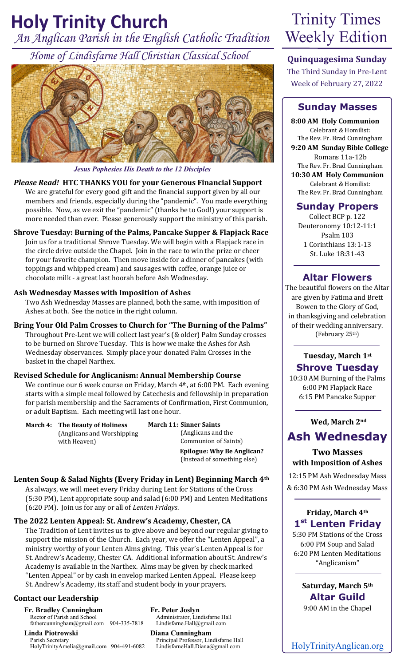# *An Anglican Parish in the English Catholic Tradition* **Holy Trinity Church** Trinity Times

*Home of Lindisfarne Hall Christian Classical School*



## *Jesus Pophesies His Death to the 12 Disciples*

#### *Please Read!* **HTC THANKS YOU for your Generous Financial Support**

We are grateful for every good gift and the financial support given by all our members and friends, especially during the "pandemic". You made everything possible. Now, as we exit the "pandemic" (thanks be to God!) your support is more needed than ever. Please generously support the ministry of this parish.

# **Shrove Tuesday: Burning of the Palms, Pancake Supper & Flapjack Race**

Join us for a traditional Shrove Tuesday. We will begin with a Flapjack race in the circle drive outside the Chapel. Join in the race to win the prize or cheer for your favorite champion. Then move inside for a dinner of pancakes (with toppings and whipped cream) and sausages with coffee, orange juice or chocolate milk - a great last hoorah before Ash Wednesday.

#### **Ash Wednesday Masses with Imposition of Ashes**

Two Ash Wednesday Masses are planned, both the same, with imposition of Ashes at both. See the notice in the right column.

**Bring Your Old Palm Crosses to Church for "The Burning of the Palms"** Throughout Pre-Lent we will collect last year's (& older) Palm Sunday crosses to be burned on Shrove Tuesday. This is how we make the Ashes for Ash Wednesday observances. Simply place your donated Palm Crosses in the basket in the chapel Narthex.

#### **Revised Schedule for Anglicanism: Annual Membership Course**

We continue our 6 week course on Friday, March 4<sup>th</sup>, at 6:00 PM. Each evening starts with a simple meal followed by Catechesis and fellowship in preparation for parish membership and the Sacraments of Confirmation, First Communion, or adult Baptism. Each meeting will last one hour.

| <b>March 4: The Beauty of Holiness</b> |
|----------------------------------------|
| (Anglicans and Worshipping)            |
| with Heaven)                           |

**March 11: Sinner Saints**  (Anglicans and the Communion of Saints)  **Epilogue: Why Be Anglican?**  (Instead of something else)

### **Lenten Soup & Salad Nights (Every Friday in Lent) Beginning March 4th**

As always, we will meet every Friday during Lent for Stations of the Cross (5:30 PM), Lent appropriate soup and salad (6:00 PM) and Lenten Meditations (6:20 PM). Join us for any or all of *Lenten Fridays*.

#### **The 2022 Lenten Appeal: St. Andrew's Academy, Chester, CA**

The Tradition of Lent invites us to give above and beyond our regular giving to support the mission of the Church. Each year, we offer the "Lenten Appeal", a ministry worthy of your Lenten Alms giving. This year's Lenten Appeal is for St. Andrew's Academy, Chester CA. Additional information about St. Andrew's Academy is available in the Narthex. Alms may be given by check marked "Lenten Appeal" or by cash in envelop marked Lenten Appeal. Please keep St. Andrew's Academy, its staff and student body in your prayers.

#### **Contact our Leadership**

**Fr. Bradley Cunningham** Rector of Parish and School

fathercunningham@gmail.com 904-335-7818 **Linda Piotrowski**

Parish Secretary HolyTrinityAmelia@gmail.com 904-491-6082 **Fr. Peter Joslyn**  Administrator, Lindisfarne Hall Lindisfarne.Hall@gmail.com

**Diana Cunningham** Principal Professor, Lindisfarne Hall<br>Lindisfarne Hall.Diana@gmail.com

# Weekly Edition

## **Quinquagesima Sunday**

The Third Sunday in Pre-Lent Week of February 27, 2022

## **Sunday Masses**

**8:00 AM Holy Communion** Celebrant & Homilist: The Rev. Fr. Brad Cunningham **9:20 AM Sunday Bible College** Romans 11a-12b The Rev. Fr. Brad Cunningham **10:30 AM Holy Communion** Celebrant & Homilist: The Rev. Fr. Brad Cunningham

## **Sunday Propers**

Collect BCP p. 122 Deuteronomy 10:12-11:1 Psalm 103 1 Corinthians 13:1-13 St. Luke 18:31-43

## **Altar Flowers**

The beautiful flowers on the Altar are given by Fatima and Brett Bowen to the Glory of God, in thanksgiving and celebration of their wedding anniversary. (February 25th)

# **Tuesday, March 1st Shrove Tuesday**

10:30 AM Burning of the Palms 6:00 PM Flapjack Race 6:15 PM Pancake Supper

**Wed, March 2nd**

# **Ash Wednesday**

## **Two Masses with Imposition of Ashes**

12:15 PM Ash Wednesday Mass & 6:30 PM Ash Wednesday Mass

## **Friday, March 4th 1 st Lenten Friday**

5:30 PM Stations of the Cross 6:00 PM Soup and Salad 6:20 PM Lenten Meditations "Anglicanism"

> **Saturday, March 5th Altar Guild** 9:00 AM in the Chapel

HolyTrinityAnglican.org